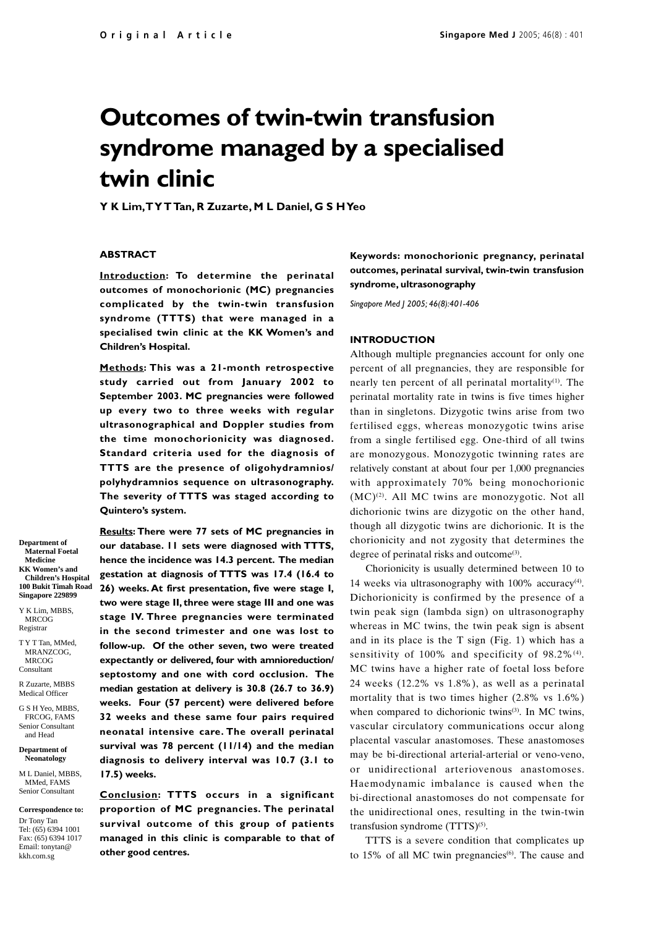# **Outcomes of twin-twin transfusion syndrome managed by a specialised twin clinic**

**Y K Lim, T Y T Tan, R Zuzarte, M L Daniel, G S H Yeo**

## **ABSTRACT**

**Introduction: To determine the perinatal outcomes of monochorionic (MC) pregnancies complicated by the twin-twin transfusion syndrome (TTTS) that were managed in a specialised twin clinic at the KK Women's and Children's Hospital.**

**Methods: This was a 21-month retrospective study carried out from January 2002 to September 2003. MC pregnancies were followed up every two to three weeks with regular ultrasonographical and Doppler studies from the time monochorionicity was diagnosed. Standard criteria used for the diagnosis of TTTS are the presence of oligohydramnios/ polyhydramnios sequence on ultrasonography. The severity of TTTS was staged according to Quintero's system.**

**Results: There were 77 sets of MC pregnancies in our database. 11 sets were diagnosed with TTTS, hence the incidence was 14.3 percent. The median gestation at diagnosis of TTTS was 17.4 (16.4 to 26) weeks. At first presentation, five were stage I, two were stage II, three were stage III and one was stage IV. Three pregnancies were terminated in the second trimester and one was lost to follow-up. Of the other seven, two were treated expectantly or delivered, four with amnioreduction/ septostomy and one with cord occlusion. The median gestation at delivery is 30.8 (26.7 to 36.9) weeks. Four (57 percent) were delivered before 32 weeks and these same four pairs required neonatal intensive care. The overall perinatal survival was 78 percent (11/14) and the median diagnosis to delivery interval was 10.7 (3.1 to 17.5) weeks.**

**Conclusion: TTTS occurs in a significant proportion of MC pregnancies. The perinatal survival outcome of this group of patients managed in this clinic is comparable to that of other good centres.**

**Keywords: monochorionic pregnancy, perinatal outcomes, perinatal survival, twin-twin transfusion syndrome, ultrasonography**

*Singapore Med J 2005; 46(8):401-406*

#### **INTRODUCTION**

Although multiple pregnancies account for only one percent of all pregnancies, they are responsible for nearly ten percent of all perinatal mortality $(1)$ . The perinatal mortality rate in twins is five times higher than in singletons. Dizygotic twins arise from two fertilised eggs, whereas monozygotic twins arise from a single fertilised egg. One-third of all twins are monozygous. Monozygotic twinning rates are relatively constant at about four per 1,000 pregnancies with approximately 70% being monochorionic  $(MC)^{(2)}$ . All MC twins are monozygotic. Not all dichorionic twins are dizygotic on the other hand, though all dizygotic twins are dichorionic. It is the chorionicity and not zygosity that determines the degree of perinatal risks and outcome<sup>(3)</sup>.

Chorionicity is usually determined between 10 to 14 weeks via ultrasonography with 100% accuracy<sup>(4)</sup>. Dichorionicity is confirmed by the presence of a twin peak sign (lambda sign) on ultrasonography whereas in MC twins, the twin peak sign is absent and in its place is the T sign (Fig. 1) which has a sensitivity of  $100\%$  and specificity of  $98.2\%$ <sup>(4)</sup>. MC twins have a higher rate of foetal loss before 24 weeks (12.2% vs 1.8%), as well as a perinatal mortality that is two times higher (2.8% vs 1.6%) when compared to dichorionic twins<sup>(3)</sup>. In MC twins, vascular circulatory communications occur along placental vascular anastomoses. These anastomoses may be bi-directional arterial-arterial or veno-veno, or unidirectional arteriovenous anastomoses. Haemodynamic imbalance is caused when the bi-directional anastomoses do not compensate for the unidirectional ones, resulting in the twin-twin transfusion syndrome  $(TTTS)^{(5)}$ .

TTTS is a severe condition that complicates up to 15% of all MC twin pregnancies $(6)$ . The cause and

**Department of Maternal Foetal Medicine KK Women's and Children's Hospital 100 Bukit Timah Road Singapore 229899**

Y K Lim, MBBS, MRCOG Registrar

T Y T Tan, MMed, MRANZCOG, MRCOG Consultant

R Zuzarte, MBBS Medical Officer

G S H Yeo, MBBS, FRCOG, FAMS Senior Consultant and Head

**Department of Neonatology**

M<sub>I</sub>. Daniel, MBBS MMed, FAMS Senior Consultant

**Correspondence to:** Dr Tony Tan Tel: (65) 6394 1001 Fax: (65) 6394 1017 Email: tonytan@ kkh.com.sg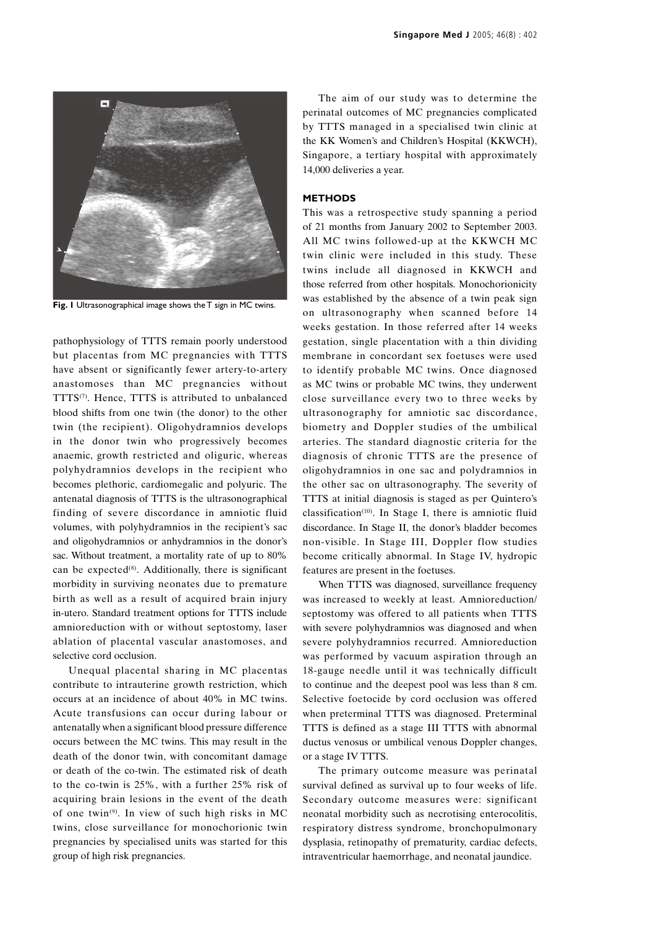

**Fig. 1** Ultrasonographical image shows the T sign in MC twins.

pathophysiology of TTTS remain poorly understood but placentas from MC pregnancies with TTTS have absent or significantly fewer artery-to-artery anastomoses than MC pregnancies without TTTS<sup>(7)</sup>. Hence, TTTS is attributed to unbalanced blood shifts from one twin (the donor) to the other twin (the recipient). Oligohydramnios develops in the donor twin who progressively becomes anaemic, growth restricted and oliguric, whereas polyhydramnios develops in the recipient who becomes plethoric, cardiomegalic and polyuric. The antenatal diagnosis of TTTS is the ultrasonographical finding of severe discordance in amniotic fluid volumes, with polyhydramnios in the recipient's sac and oligohydramnios or anhydramnios in the donor's sac. Without treatment, a mortality rate of up to 80% can be expected<sup>(8)</sup>. Additionally, there is significant morbidity in surviving neonates due to premature birth as well as a result of acquired brain injury in-utero. Standard treatment options for TTTS include amnioreduction with or without septostomy, laser ablation of placental vascular anastomoses, and selective cord occlusion.

Unequal placental sharing in MC placentas contribute to intrauterine growth restriction, which occurs at an incidence of about 40% in MC twins. Acute transfusions can occur during labour or antenatally when a significant blood pressure difference occurs between the MC twins. This may result in the death of the donor twin, with concomitant damage or death of the co-twin. The estimated risk of death to the co-twin is 25%, with a further 25% risk of acquiring brain lesions in the event of the death of one twin<sup>(9)</sup>. In view of such high risks in MC twins, close surveillance for monochorionic twin pregnancies by specialised units was started for this group of high risk pregnancies.

The aim of our study was to determine the perinatal outcomes of MC pregnancies complicated by TTTS managed in a specialised twin clinic at the KK Women's and Children's Hospital (KKWCH), Singapore, a tertiary hospital with approximately 14,000 deliveries a year.

## **METHODS**

This was a retrospective study spanning a period of 21 months from January 2002 to September 2003. All MC twins followed-up at the KKWCH MC twin clinic were included in this study. These twins include all diagnosed in KKWCH and those referred from other hospitals. Monochorionicity was established by the absence of a twin peak sign on ultrasonography when scanned before 14 weeks gestation. In those referred after 14 weeks gestation, single placentation with a thin dividing membrane in concordant sex foetuses were used to identify probable MC twins. Once diagnosed as MC twins or probable MC twins, they underwent close surveillance every two to three weeks by ultrasonography for amniotic sac discordance, biometry and Doppler studies of the umbilical arteries. The standard diagnostic criteria for the diagnosis of chronic TTTS are the presence of oligohydramnios in one sac and polydramnios in the other sac on ultrasonography. The severity of TTTS at initial diagnosis is staged as per Quintero's classification<sup> $(10)$ </sup>. In Stage I, there is amniotic fluid discordance. In Stage II, the donor's bladder becomes non-visible. In Stage III, Doppler flow studies become critically abnormal. In Stage IV, hydropic features are present in the foetuses.

When TTTS was diagnosed, surveillance frequency was increased to weekly at least. Amnioreduction/ septostomy was offered to all patients when TTTS with severe polyhydramnios was diagnosed and when severe polyhydramnios recurred. Amnioreduction was performed by vacuum aspiration through an 18-gauge needle until it was technically difficult to continue and the deepest pool was less than 8 cm. Selective foetocide by cord occlusion was offered when preterminal TTTS was diagnosed. Preterminal TTTS is defined as a stage III TTTS with abnormal ductus venosus or umbilical venous Doppler changes, or a stage IV TTTS.

The primary outcome measure was perinatal survival defined as survival up to four weeks of life. Secondary outcome measures were: significant neonatal morbidity such as necrotising enterocolitis, respiratory distress syndrome, bronchopulmonary dysplasia, retinopathy of prematurity, cardiac defects, intraventricular haemorrhage, and neonatal jaundice.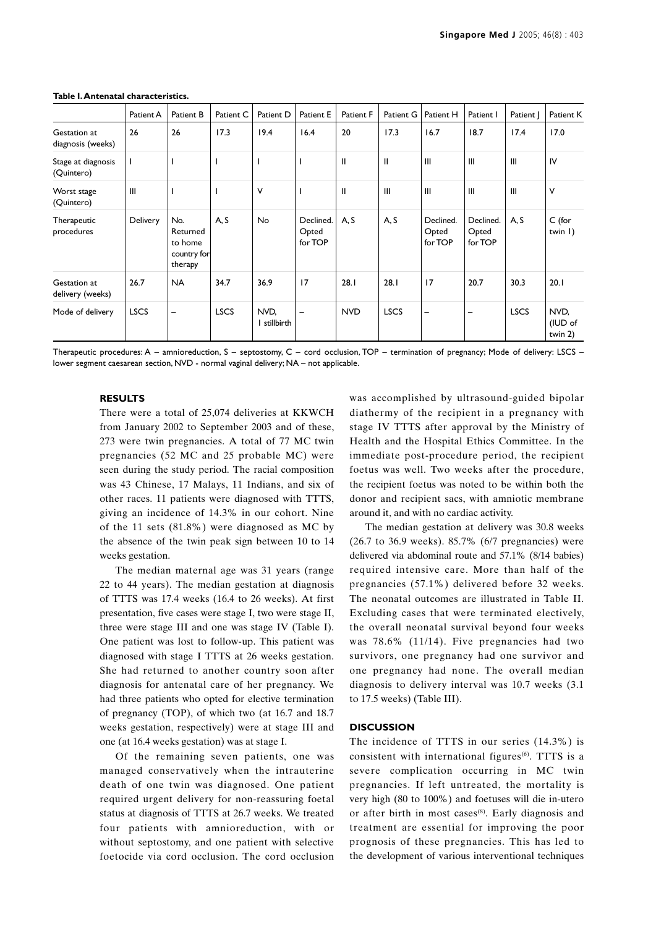|                                   | Patient A   | Patient B                                            | Patient C   | Patient D          | Patient E                     | Patient F  | Patient G   | Patient H                     | Patient I                     | Patient     | Patient K                    |
|-----------------------------------|-------------|------------------------------------------------------|-------------|--------------------|-------------------------------|------------|-------------|-------------------------------|-------------------------------|-------------|------------------------------|
| Gestation at<br>diagnosis (weeks) | 26          | 26                                                   | 17.3        | 19.4               | 16.4                          | 20         | 17.3        | 16.7                          | 18.7                          | 17.4        | 17.0                         |
| Stage at diagnosis<br>(Quintero)  |             |                                                      |             |                    |                               | Ш          | Ш           | III                           | $\mathbf{III}$                | III         | IV                           |
| Worst stage<br>(Quintero)         | III         |                                                      |             | ٧                  |                               | Ш          | Ш           | $\mathbf{III}$                | $\mathbf{III}$                | III         | V                            |
| Therapeutic<br>procedures         | Delivery    | No.<br>Returned<br>to home<br>country for<br>therapy | A, S        | No                 | Declined.<br>Opted<br>for TOP | A, S       | A, S        | Declined.<br>Opted<br>for TOP | Declined.<br>Opted<br>for TOP | A, S        | $C$ (for<br>twin $  \rangle$ |
| Gestation at<br>delivery (weeks)  | 26.7        | <b>NA</b>                                            | 34.7        | 36.9               | 17                            | 28.1       | 28.1        | 17                            | 20.7                          | 30.3        | 20.1                         |
| Mode of delivery                  | <b>LSCS</b> | -                                                    | <b>LSCS</b> | NVD,<br>stillbirth | $\overline{\phantom{m}}$      | <b>NVD</b> | <b>LSCS</b> | $\overline{\phantom{m}}$      | $\overline{\phantom{m}}$      | <b>LSCS</b> | NVD,<br>(IUD of<br>twin 2)   |

#### **Table I. Antenatal characteristics.**

Therapeutic procedures: A – amnioreduction, S – septostomy, C – cord occlusion, TOP – termination of pregnancy; Mode of delivery: LSCS – lower segment caesarean section, NVD - normal vaginal delivery; NA – not applicable.

### **RESULTS**

There were a total of 25,074 deliveries at KKWCH from January 2002 to September 2003 and of these, 273 were twin pregnancies. A total of 77 MC twin pregnancies (52 MC and 25 probable MC) were seen during the study period. The racial composition was 43 Chinese, 17 Malays, 11 Indians, and six of other races. 11 patients were diagnosed with TTTS, giving an incidence of 14.3% in our cohort. Nine of the 11 sets (81.8%) were diagnosed as MC by the absence of the twin peak sign between 10 to 14 weeks gestation.

The median maternal age was 31 years (range 22 to 44 years). The median gestation at diagnosis of TTTS was 17.4 weeks (16.4 to 26 weeks). At first presentation, five cases were stage I, two were stage II, three were stage III and one was stage IV (Table I). One patient was lost to follow-up. This patient was diagnosed with stage I TTTS at 26 weeks gestation. She had returned to another country soon after diagnosis for antenatal care of her pregnancy. We had three patients who opted for elective termination of pregnancy (TOP), of which two (at 16.7 and 18.7 weeks gestation, respectively) were at stage III and one (at 16.4 weeks gestation) was at stage I.

Of the remaining seven patients, one was managed conservatively when the intrauterine death of one twin was diagnosed. One patient required urgent delivery for non-reassuring foetal status at diagnosis of TTTS at 26.7 weeks. We treated four patients with amnioreduction, with or without septostomy, and one patient with selective foetocide via cord occlusion. The cord occlusion was accomplished by ultrasound-guided bipolar diathermy of the recipient in a pregnancy with stage IV TTTS after approval by the Ministry of Health and the Hospital Ethics Committee. In the immediate post-procedure period, the recipient foetus was well. Two weeks after the procedure, the recipient foetus was noted to be within both the donor and recipient sacs, with amniotic membrane around it, and with no cardiac activity.

The median gestation at delivery was 30.8 weeks (26.7 to 36.9 weeks). 85.7% (6/7 pregnancies) were delivered via abdominal route and 57.1% (8/14 babies) required intensive care. More than half of the pregnancies (57.1%) delivered before 32 weeks. The neonatal outcomes are illustrated in Table II. Excluding cases that were terminated electively, the overall neonatal survival beyond four weeks was 78.6% (11/14). Five pregnancies had two survivors, one pregnancy had one survivor and one pregnancy had none. The overall median diagnosis to delivery interval was 10.7 weeks (3.1 to 17.5 weeks) (Table III).

### **DISCUSSION**

The incidence of TTTS in our series (14.3%) is consistent with international figures<sup>(6)</sup>. TTTS is a severe complication occurring in MC twin pregnancies. If left untreated, the mortality is very high (80 to 100%) and foetuses will die in-utero or after birth in most cases<sup>(8)</sup>. Early diagnosis and treatment are essential for improving the poor prognosis of these pregnancies. This has led to the development of various interventional techniques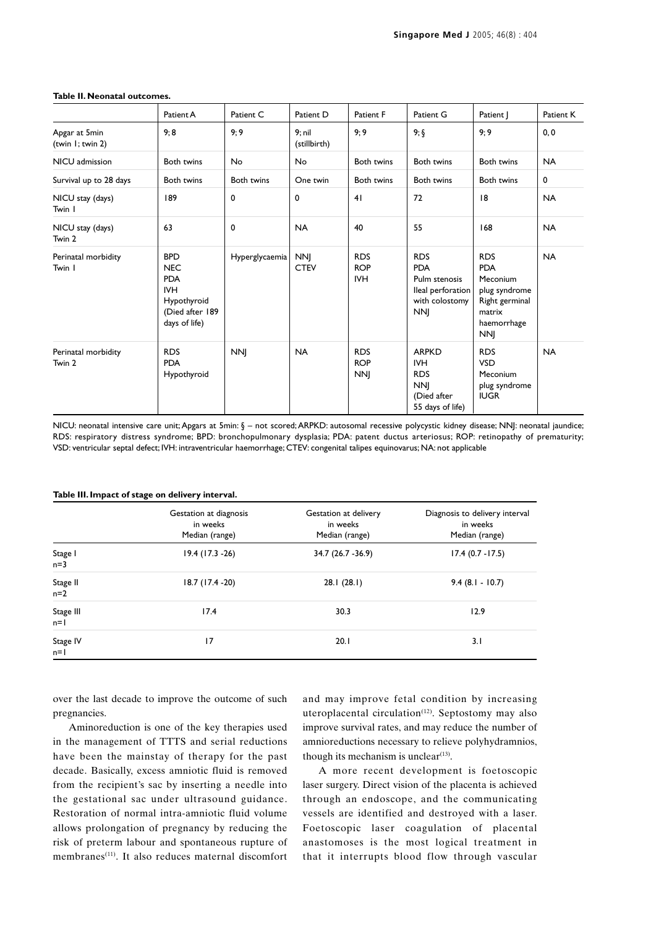|                                   | Patient A                                                                                               | Patient C      | Patient D                 | Patient F                              | Patient G                                                                                      | Patient                                                                                                        | Patient K |
|-----------------------------------|---------------------------------------------------------------------------------------------------------|----------------|---------------------------|----------------------------------------|------------------------------------------------------------------------------------------------|----------------------------------------------------------------------------------------------------------------|-----------|
| Apgar at 5min<br>(twin 1; twin 2) | 9;8                                                                                                     | 9;9            | 9; nil<br>(stillbirth)    | 9;9                                    | $9; \S$                                                                                        | 9;9                                                                                                            | 0, 0      |
| NICU admission                    | Both twins                                                                                              | No             | <b>No</b>                 | Both twins                             | <b>Both twins</b>                                                                              | Both twins                                                                                                     | <b>NA</b> |
| Survival up to 28 days            | Both twins                                                                                              | Both twins     | One twin                  | Both twins                             | <b>Both twins</b>                                                                              | Both twins                                                                                                     | 0         |
| NICU stay (days)<br>Twin I        | 189                                                                                                     | 0              | $\mathbf 0$               | 41                                     | 72                                                                                             | 8                                                                                                              | <b>NA</b> |
| NICU stay (days)<br>Twin 2        | 63                                                                                                      | $\mathbf 0$    | <b>NA</b>                 | 40                                     | 55                                                                                             | 168                                                                                                            | <b>NA</b> |
| Perinatal morbidity<br>Twin I     | <b>BPD</b><br><b>NEC</b><br><b>PDA</b><br><b>IVH</b><br>Hypothyroid<br>(Died after 189<br>days of life) | Hyperglycaemia | <b>NNJ</b><br><b>CTEV</b> | <b>RDS</b><br><b>ROP</b><br><b>IVH</b> | <b>RDS</b><br><b>PDA</b><br>Pulm stenosis<br>lleal perforation<br>with colostomy<br><b>NNJ</b> | <b>RDS</b><br><b>PDA</b><br>Meconium<br>plug syndrome<br>Right germinal<br>matrix<br>haemorrhage<br><b>NNJ</b> | <b>NA</b> |
| Perinatal morbidity<br>Twin 2     | <b>RDS</b><br><b>PDA</b><br>Hypothyroid                                                                 | <b>NNI</b>     | <b>NA</b>                 | <b>RDS</b><br><b>ROP</b><br><b>NNI</b> | <b>ARPKD</b><br><b>IVH</b><br><b>RDS</b><br><b>NNJ</b><br>(Died after<br>55 days of life)      | <b>RDS</b><br><b>VSD</b><br>Meconium<br>plug syndrome<br><b>IUGR</b>                                           | <b>NA</b> |

#### **Table II. Neonatal outcomes.**

NICU: neonatal intensive care unit; Apgars at 5min: § – not scored; ARPKD: autosomal recessive polycystic kidney disease; NNJ: neonatal jaundice; RDS: respiratory distress syndrome; BPD: bronchopulmonary dysplasia; PDA: patent ductus arteriosus; ROP: retinopathy of prematurity; VSD: ventricular septal defect; IVH: intraventricular haemorrhage; CTEV: congenital talipes equinovarus; NA: not applicable

| rabic infinipact or stage on activery meet van |                                                      |                                                     |                                                              |  |  |  |
|------------------------------------------------|------------------------------------------------------|-----------------------------------------------------|--------------------------------------------------------------|--|--|--|
|                                                | Gestation at diagnosis<br>in weeks<br>Median (range) | Gestation at delivery<br>in weeks<br>Median (range) | Diagnosis to delivery interval<br>in weeks<br>Median (range) |  |  |  |
| Stage I<br>$n=3$                               | $19.4(17.3 - 26)$                                    | 34.7 (26.7 - 36.9)                                  | $17.4(0.7 - 17.5)$                                           |  |  |  |
| Stage II<br>$n=2$                              | 18.7 (17.4 - 20)                                     | 28.1(28.1)                                          | $9.4(8.1 - 10.7)$                                            |  |  |  |
| Stage III<br>$n=1$                             | 17.4                                                 | 30.3                                                | 12.9                                                         |  |  |  |
| Stage IV<br>$n=1$                              | 17                                                   | 20.1                                                | 3.1                                                          |  |  |  |

#### **Table III. Impact of stage on delivery interval.**

over the last decade to improve the outcome of such pregnancies.

Aminoreduction is one of the key therapies used in the management of TTTS and serial reductions have been the mainstay of therapy for the past decade. Basically, excess amniotic fluid is removed from the recipient's sac by inserting a needle into the gestational sac under ultrasound guidance. Restoration of normal intra-amniotic fluid volume allows prolongation of pregnancy by reducing the risk of preterm labour and spontaneous rupture of membranes(11). It also reduces maternal discomfort and may improve fetal condition by increasing uteroplacental circulation<sup> $(12)$ </sup>. Septostomy may also improve survival rates, and may reduce the number of amnioreductions necessary to relieve polyhydramnios, though its mechanism is unclear $(13)$ .

A more recent development is foetoscopic laser surgery. Direct vision of the placenta is achieved through an endoscope, and the communicating vessels are identified and destroyed with a laser. Foetoscopic laser coagulation of placental anastomoses is the most logical treatment in that it interrupts blood flow through vascular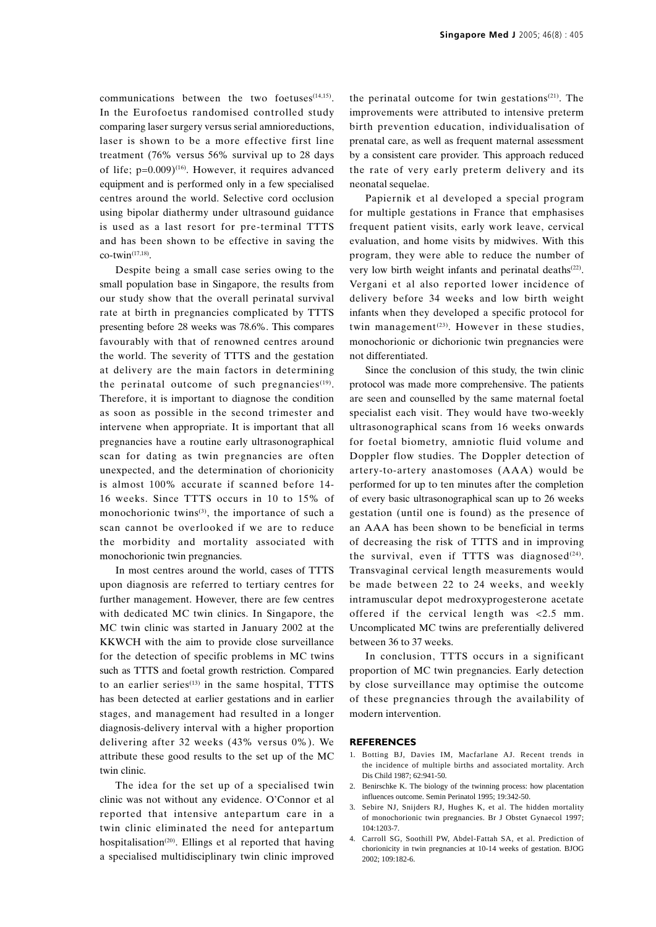communications between the two foetuses $(14,15)$ . In the Eurofoetus randomised controlled study comparing laser surgery versus serial amnioreductions, laser is shown to be a more effective first line treatment (76% versus 56% survival up to 28 days of life;  $p=0.009$ <sup>(16)</sup>. However, it requires advanced equipment and is performed only in a few specialised centres around the world. Selective cord occlusion using bipolar diathermy under ultrasound guidance is used as a last resort for pre-terminal TTTS and has been shown to be effective in saving the  $co$ -twin<sup>(17,18)</sup>.

Despite being a small case series owing to the small population base in Singapore, the results from our study show that the overall perinatal survival rate at birth in pregnancies complicated by TTTS presenting before 28 weeks was 78.6%. This compares favourably with that of renowned centres around the world. The severity of TTTS and the gestation at delivery are the main factors in determining the perinatal outcome of such pregnancies<sup>(19)</sup>. Therefore, it is important to diagnose the condition as soon as possible in the second trimester and intervene when appropriate. It is important that all pregnancies have a routine early ultrasonographical scan for dating as twin pregnancies are often unexpected, and the determination of chorionicity is almost 100% accurate if scanned before 14- 16 weeks. Since TTTS occurs in 10 to 15% of monochorionic twins $(3)$ , the importance of such a scan cannot be overlooked if we are to reduce the morbidity and mortality associated with monochorionic twin pregnancies.

In most centres around the world, cases of TTTS upon diagnosis are referred to tertiary centres for further management. However, there are few centres with dedicated MC twin clinics. In Singapore, the MC twin clinic was started in January 2002 at the KKWCH with the aim to provide close surveillance for the detection of specific problems in MC twins such as TTTS and foetal growth restriction. Compared to an earlier series $(13)$  in the same hospital, TTTS has been detected at earlier gestations and in earlier stages, and management had resulted in a longer diagnosis-delivery interval with a higher proportion delivering after 32 weeks (43% versus 0%). We attribute these good results to the set up of the MC twin clinic.

The idea for the set up of a specialised twin clinic was not without any evidence. O'Connor et al reported that intensive antepartum care in a twin clinic eliminated the need for antepartum hospitalisation(20). Ellings et al reported that having a specialised multidisciplinary twin clinic improved

the perinatal outcome for twin gestations<sup> $(21)$ </sup>. The improvements were attributed to intensive preterm birth prevention education, individualisation of prenatal care, as well as frequent maternal assessment by a consistent care provider. This approach reduced the rate of very early preterm delivery and its neonatal sequelae.

Papiernik et al developed a special program for multiple gestations in France that emphasises frequent patient visits, early work leave, cervical evaluation, and home visits by midwives. With this program, they were able to reduce the number of very low birth weight infants and perinatal deaths<sup>(22)</sup>. Vergani et al also reported lower incidence of delivery before 34 weeks and low birth weight infants when they developed a specific protocol for twin management<sup> $(23)$ </sup>. However in these studies, monochorionic or dichorionic twin pregnancies were not differentiated.

Since the conclusion of this study, the twin clinic protocol was made more comprehensive. The patients are seen and counselled by the same maternal foetal specialist each visit. They would have two-weekly ultrasonographical scans from 16 weeks onwards for foetal biometry, amniotic fluid volume and Doppler flow studies. The Doppler detection of artery-to-artery anastomoses (AAA) would be performed for up to ten minutes after the completion of every basic ultrasonographical scan up to 26 weeks gestation (until one is found) as the presence of an AAA has been shown to be beneficial in terms of decreasing the risk of TTTS and in improving the survival, even if TTTS was diagnosed $(24)$ . Transvaginal cervical length measurements would be made between 22 to 24 weeks, and weekly intramuscular depot medroxyprogesterone acetate offered if the cervical length was <2.5 mm. Uncomplicated MC twins are preferentially delivered between 36 to 37 weeks.

In conclusion, TTTS occurs in a significant proportion of MC twin pregnancies. Early detection by close surveillance may optimise the outcome of these pregnancies through the availability of modern intervention.

#### **REFERENCES**

- 1. Botting BJ, Davies IM, Macfarlane AJ. Recent trends in the incidence of multiple births and associated mortality. Arch Dis Child 1987; 62:941-50.
- 2. Benirschke K. The biology of the twinning process: how placentation influences outcome. Semin Perinatol 1995; 19:342-50.
- 3. Sebire NJ, Snijders RJ, Hughes K, et al. The hidden mortality of monochorionic twin pregnancies. Br J Obstet Gynaecol 1997; 104:1203-7.
- 4. Carroll SG, Soothill PW, Abdel-Fattah SA, et al. Prediction of chorionicity in twin pregnancies at 10-14 weeks of gestation. BJOG 2002; 109:182-6.